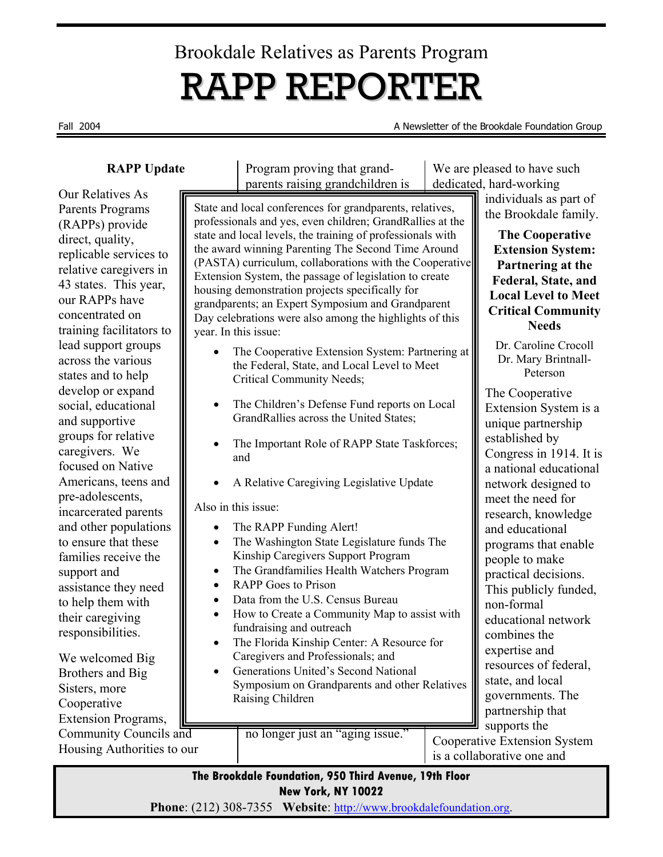# Brookdale Relatives as Parents Program RAPP REPORTER

Fall 2004 A Newsletter of the Brookdale Foundation Group

#### **RAPP Update**

Our Relatives As Parents Programs (RAPPs) provide direct, quality, replicable services to relative caregivers in 43 states. This year, our RAPPs have concentrated on training facilitators to lead support groups across the various states and to help develop or expand social, educational and supportive groups for relative caregivers. We focused on Native Americans, teens and pre-adolescents, incarcerated parents and other populations to ensure that these families receive the support and assistance they need to help them with their caregiving responsibilities.

We welcomed Big Brothers and Big Sisters, more Cooperative Extension Programs, Community Councils and Housing Authorities to our Program proving that grandparents raising grandchildren is We are pleased to have such dedicated, hard-working

individuals as part of the Brookdale family.

The Cooperative Extension System is a unique partnership established by

Congress in 1914. It is a national educational network designed to meet the need for research, knowledge and educational programs that enable people to make practical decisions. This publicly funded,

**The Cooperative Extension System: Partnering at the Federal, State, and Local Level to Meet Critical Community Needs**  Dr. Caroline Crocoll Dr. Mary Brintnall-Peterson

State and local conferences for grandparents, relatives, professionals and yes, even children; GrandRallies at the state and local levels, the training of professionals with the award winning Parenting The Second Time Around (PASTA) curriculum, collaborations with the Cooperative Extension System, the passage of legislation to create housing demonstration projects specifically for grandparents; an Expert Symposium and Grandparent Day celebrations were also among the highlights of this year. In this issue:

- The Cooperative Extension System: Partnering at the Federal, State, and Local Level to Meet Critical Community Needs;
- The Children's Defense Fund reports on Local GrandRallies across the United States;
- The Important Role of RAPP State Taskforces; and
- A Relative Caregiving Legislative Update

Also in this issue:

- The RAPP Funding Alert!
- The Washington State Legislature funds The Kinship Caregivers Support Program
- The Grandfamilies Health Watchers Program
- RAPP Goes to Prison
- Data from the U.S. Census Bureau
- How to Create a Community Map to assist with fundraising and outreach
- The Florida Kinship Center: A Resource for Caregivers and Professionals; and
- Generations United's Second National Symposium on Grandparents and other Relatives Raising Children

no longer just an "aging issue."

expertise and resources of federal, state, and local governments. The partnership that supports the Cooperative Extension System is a collaborative one and

non-formal

combines the

educational network

**The Brookdale Foundation, 950 Third Avenue, 19th Floor New York, NY 10022** 

**Phone**: (212) 308-7355 **Website**: http://www.brookdalefoundation.org.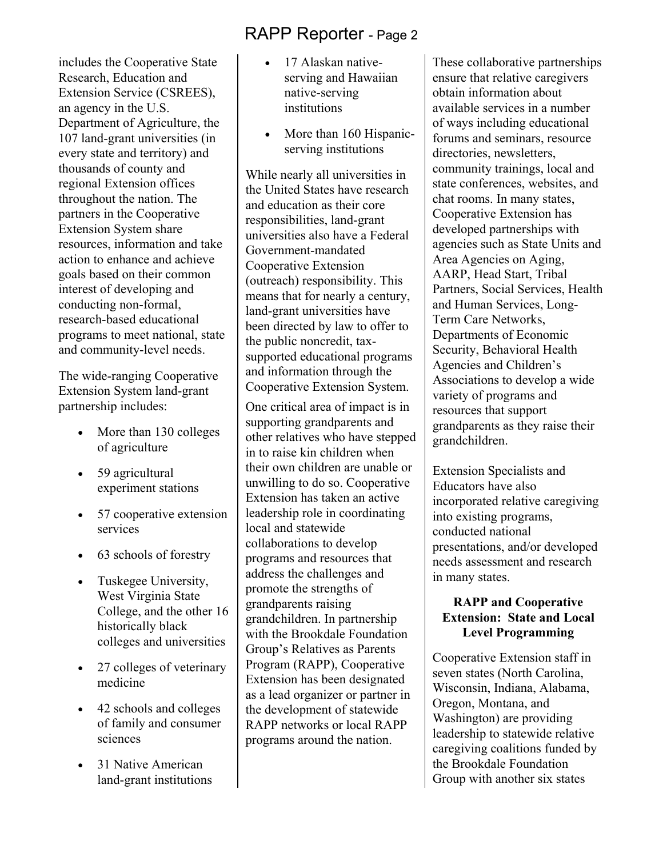includes the Cooperative State Research, Education and Extension Service (CSREES), an agency in the U.S. Department of Agriculture, the 107 land-grant universities (in every state and territory) and thousands of county and regional Extension offices throughout the nation. The partners in the Cooperative Extension System share resources, information and take action to enhance and achieve goals based on their common interest of developing and conducting non-formal, research-based educational programs to meet national, state and community-level needs.

The wide-ranging Cooperative Extension System land-grant partnership includes:

- More than 130 colleges of agriculture
- 59 agricultural experiment stations
- 57 cooperative extension services
- 63 schools of forestry
- Tuskegee University, West Virginia State College, and the other 16 historically black colleges and universities
- 27 colleges of veterinary medicine
- 42 schools and colleges of family and consumer sciences
- 31 Native American land-grant institutions
- 17 Alaskan nativeserving and Hawaiian native-serving institutions
- More than 160 Hispanicserving institutions

While nearly all universities in the United States have research and education as their core responsibilities, land-grant universities also have a Federal Government-mandated Cooperative Extension (outreach) responsibility. This means that for nearly a century, land-grant universities have been directed by law to offer to the public noncredit, taxsupported educational programs and information through the Cooperative Extension System.

One critical area of impact is in supporting grandparents and other relatives who have stepped in to raise kin children when their own children are unable or unwilling to do so. Cooperative Extension has taken an active leadership role in coordinating local and statewide collaborations to develop programs and resources that address the challenges and promote the strengths of grandparents raising grandchildren. In partnership with the Brookdale Foundation Group's Relatives as Parents Program (RAPP), Cooperative Extension has been designated as a lead organizer or partner in the development of statewide RAPP networks or local RAPP programs around the nation.

These collaborative partnerships ensure that relative caregivers obtain information about available services in a number of ways including educational forums and seminars, resource directories, newsletters, community trainings, local and state conferences, websites, and chat rooms. In many states, Cooperative Extension has developed partnerships with agencies such as State Units and Area Agencies on Aging, AARP, Head Start, Tribal Partners, Social Services, Health and Human Services, Long-Term Care Networks, Departments of Economic Security, Behavioral Health Agencies and Children's Associations to develop a wide variety of programs and resources that support grandparents as they raise their grandchildren.

Extension Specialists and Educators have also incorporated relative caregiving into existing programs, conducted national presentations, and/or developed needs assessment and research in many states.

#### **RAPP and Cooperative Extension: State and Local Level Programming**

Cooperative Extension staff in seven states (North Carolina, Wisconsin, Indiana, Alabama, Oregon, Montana, and Washington) are providing leadership to statewide relative caregiving coalitions funded by the Brookdale Foundation Group with another six states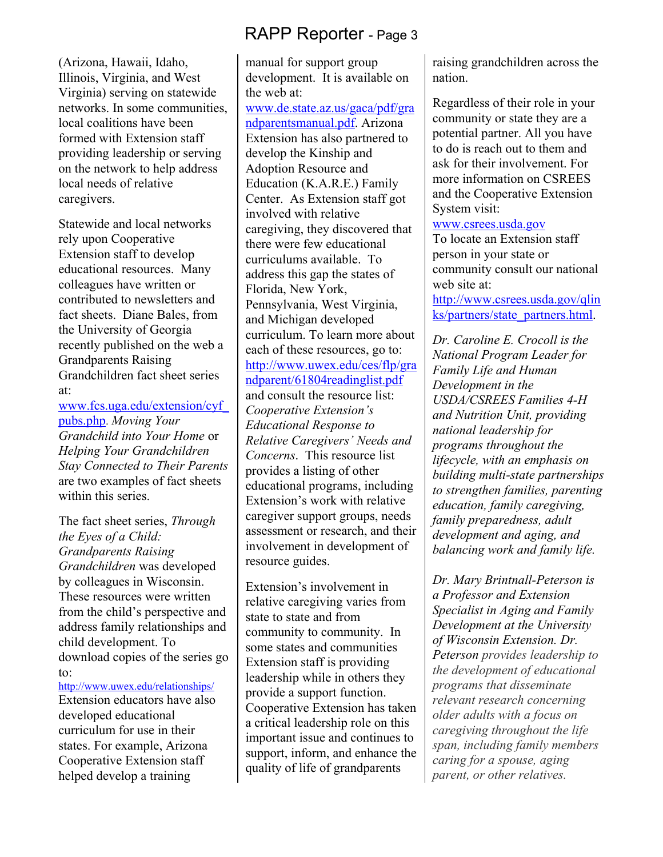(Arizona, Hawaii, Idaho, Illinois, Virginia, and West Virginia) serving on statewide networks. In some communities, local coalitions have been formed with Extension staff providing leadership or serving on the network to help address local needs of relative caregivers.

Statewide and local networks rely upon Cooperative Extension staff to develop educational resources. Many colleagues have written or contributed to newsletters and fact sheets. Diane Bales, from the University of Georgia recently published on the web a Grandparents Raising Grandchildren fact sheet series at:

www.fcs.uga.edu/extension/cyf\_ pubs.php. *Moving Your Grandchild into Your Home* or *Helping Your Grandchildren Stay Connected to Their Parents* are two examples of fact sheets within this series.

The fact sheet series, *Through the Eyes of a Child: Grandparents Raising Grandchildren* was developed by colleagues in Wisconsin. These resources were written from the child's perspective and address family relationships and child development. To download copies of the series go to:

http://www.uwex.edu/relationships/ Extension educators have also developed educational curriculum for use in their states. For example, Arizona Cooperative Extension staff

helped develop a training

manual for support group development. It is available on the web at: www.de.state.az.us/gaca/pdf/gra ndparentsmanual.pdf. Arizona Extension has also partnered to develop the Kinship and Adoption Resource and Education (K.A.R.E.) Family Center. As Extension staff got involved with relative caregiving, they discovered that there were few educational curriculums available. To address this gap the states of Florida, New York, Pennsylvania, West Virginia, and Michigan developed curriculum. To learn more about each of these resources, go to: http://www.uwex.edu/ces/flp/gra ndparent/61804readinglist.pdf and consult the resource list: *Cooperative Extension's Educational Response to Relative Caregivers' Needs and Concerns*. This resource list provides a listing of other educational programs, including Extension's work with relative caregiver support groups, needs assessment or research, and their involvement in development of resource guides.

Extension's involvement in relative caregiving varies from state to state and from community to community. In some states and communities Extension staff is providing leadership while in others they provide a support function. Cooperative Extension has taken a critical leadership role on this important issue and continues to support, inform, and enhance the quality of life of grandparents

raising grandchildren across the nation.

Regardless of their role in your community or state they are a potential partner. All you have to do is reach out to them and ask for their involvement. For more information on CSREES and the Cooperative Extension System visit:

#### www.csrees.usda.gov

To locate an Extension staff person in your state or community consult our national web site at:

http://www.csrees.usda.gov/qlin ks/partners/state\_partners.html.

*Dr. Caroline E. Crocoll is the National Program Leader for Family Life and Human Development in the USDA/CSREES Families 4-H and Nutrition Unit, providing national leadership for programs throughout the lifecycle, with an emphasis on building multi-state partnerships to strengthen families, parenting education, family caregiving, family preparedness, adult development and aging, and balancing work and family life.* 

*Dr. Mary Brintnall-Peterson is a Professor and Extension Specialist in Aging and Family Development at the University of Wisconsin Extension. Dr. Peterson provides leadership to the development of educational programs that disseminate relevant research concerning older adults with a focus on caregiving throughout the life span, including family members caring for a spouse, aging parent, or other relatives.*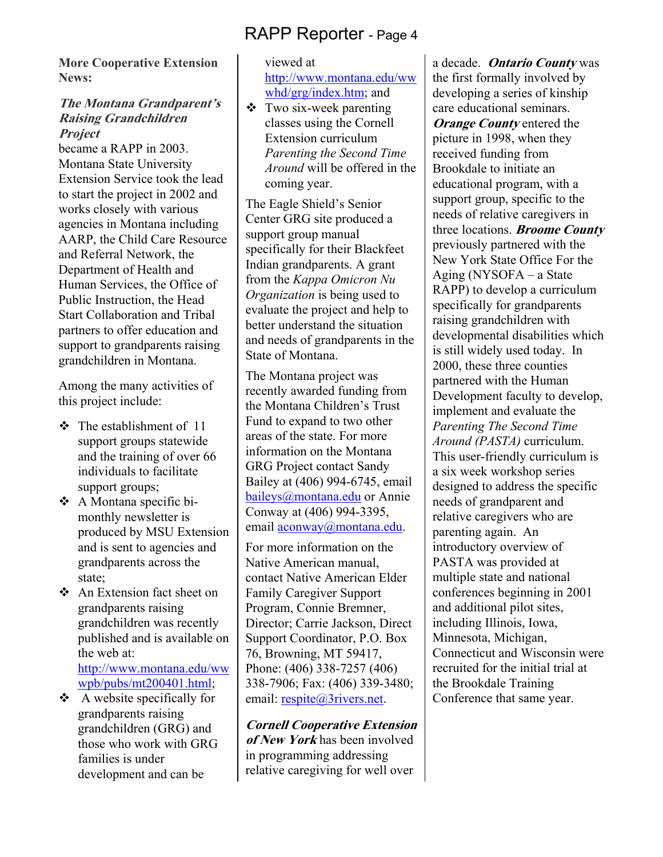**More Cooperative Extension News:** 

#### **The Montana Grandparent's Raising Grandchildren Project**

became a RAPP in 2003. Montana State University Extension Service took the lead to start the project in 2002 and works closely with various agencies in Montana including AARP, the Child Care Resource and Referral Network, the Department of Health and Human Services, the Office of Public Instruction, the Head Start Collaboration and Tribal partners to offer education and support to grandparents raising grandchildren in Montana.

Among the many activities of this project include:

- $\div$  The establishment of 11 support groups statewide and the training of over 66 individuals to facilitate support groups;
- A Montana specific bimonthly newsletter is produced by MSU Extension and is sent to agencies and grandparents across the state;
- An Extension fact sheet on grandparents raising grandchildren was recently published and is available on the web at: http://www.montana.edu/ww wpb/pubs/mt200401.html;
- $\triangle$  A website specifically for grandparents raising grandchildren (GRG) and those who work with GRG families is under development and can be

#### viewed at http://www.montana.edu/ww whd/grg/index.htm; and

 Two six-week parenting classes using the Cornell Extension curriculum *Parenting the Second Time Around* will be offered in the coming year.

The Eagle Shield's Senior Center GRG site produced a support group manual specifically for their Blackfeet Indian grandparents. A grant from the *Kappa Omicron Nu Organization* is being used to evaluate the project and help to better understand the situation and needs of grandparents in the State of Montana.

The Montana project was recently awarded funding from the Montana Children's Trust Fund to expand to two other areas of the state. For more information on the Montana GRG Project contact Sandy Bailey at (406) 994-6745, email baileys@montana.edu or Annie Conway at (406) 994-3395, email aconway@montana.edu.

For more information on the Native American manual, contact Native American Elder Family Caregiver Support Program, Connie Bremner, Director; Carrie Jackson, Direct Support Coordinator, P.O. Box 76, Browning, MT 59417, Phone: (406) 338-7257 (406) 338-7906; Fax: (406) 339-3480; email: respite@3rivers.net.

**Cornell Cooperative Extension of New York** has been involved in programming addressing relative caregiving for well over

a decade. **Ontario County** was the first formally involved by developing a series of kinship care educational seminars. *Orange County* entered the picture in 1998, when they received funding from Brookdale to initiate an educational program, with a support group, specific to the needs of relative caregivers in three locations. **Broome County** previously partnered with the New York State Office For the Aging (NYSOFA – a State RAPP) to develop a curriculum specifically for grandparents raising grandchildren with developmental disabilities which is still widely used today. In 2000, these three counties partnered with the Human Development faculty to develop, implement and evaluate the *Parenting The Second Time Around (PASTA)* curriculum. This user-friendly curriculum is a six week workshop series designed to address the specific needs of grandparent and relative caregivers who are parenting again. An introductory overview of PASTA was provided at multiple state and national conferences beginning in 2001 and additional pilot sites, including Illinois, Iowa, Minnesota, Michigan, Connecticut and Wisconsin were recruited for the initial trial at the Brookdale Training Conference that same year.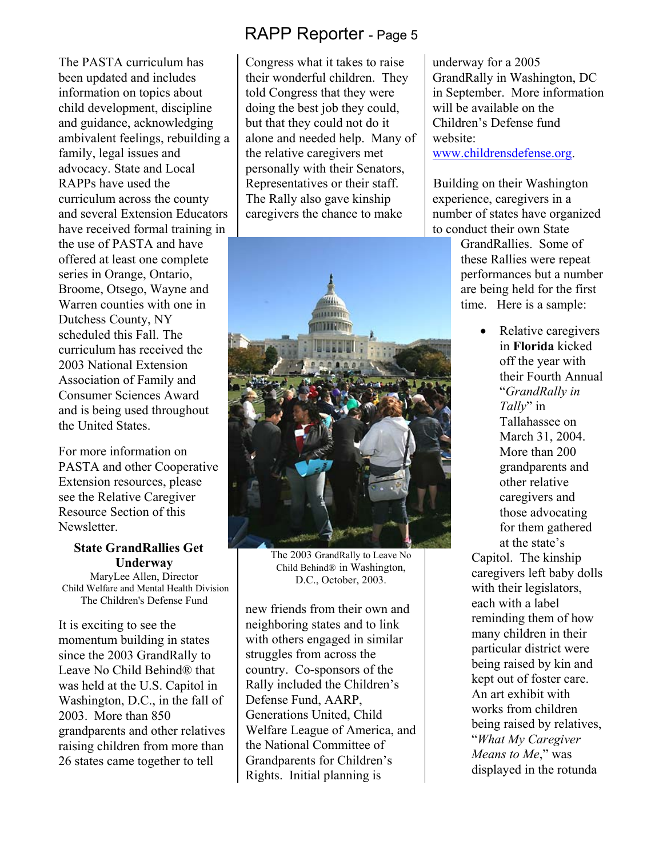The PASTA curriculum has been updated and includes information on topics about child development, discipline and guidance, acknowledging ambivalent feelings, rebuilding a family, legal issues and advocacy. State and Local RAPPs have used the curriculum across the county and several Extension Educators have received formal training in the use of PASTA and have offered at least one complete series in Orange, Ontario, Broome, Otsego, Wayne and Warren counties with one in Dutchess County, NY scheduled this Fall. The curriculum has received the 2003 National Extension Association of Family and Consumer Sciences Award and is being used throughout the United States.

For more information on PASTA and other Cooperative Extension resources, please see the Relative Caregiver Resource Section of this Newsletter.

#### **State GrandRallies Get Underway**

MaryLee Allen, Director Child Welfare and Mental Health Division The Children's Defense Fund

It is exciting to see the momentum building in states since the 2003 GrandRally to Leave No Child Behind® that was held at the U.S. Capitol in Washington, D.C., in the fall of 2003. More than 850 grandparents and other relatives raising children from more than 26 states came together to tell

# RAPP Reporter - Page 5

Congress what it takes to raise their wonderful children. They told Congress that they were doing the best job they could, but that they could not do it alone and needed help. Many of the relative caregivers met personally with their Senators, Representatives or their staff. The Rally also gave kinship caregivers the chance to make



The 2003 GrandRally to Leave No Child Behind® in Washington, D.C., October, 2003.

new friends from their own and neighboring states and to link with others engaged in similar struggles from across the country. Co-sponsors of the Rally included the Children's Defense Fund, AARP, Generations United, Child Welfare League of America, and the National Committee of Grandparents for Children's Rights. Initial planning is

underway for a 2005 GrandRally in Washington, DC in September. More information will be available on the Children's Defense fund website: www.childrensdefense.org.

 Building on their Washington experience, caregivers in a number of states have organized to conduct their own State

> GrandRallies. Some of these Rallies were repeat performances but a number are being held for the first time. Here is a sample:

> > • Relative caregivers in **Florida** kicked off the year with their Fourth Annual "*GrandRally in Tally*" in Tallahassee on March 31, 2004. More than 200 grandparents and other relative caregivers and those advocating for them gathered at the state's

Capitol. The kinship caregivers left baby dolls with their legislators, each with a label reminding them of how many children in their particular district were being raised by kin and kept out of foster care. An art exhibit with works from children being raised by relatives, "*What My Caregiver Means to Me*," was displayed in the rotunda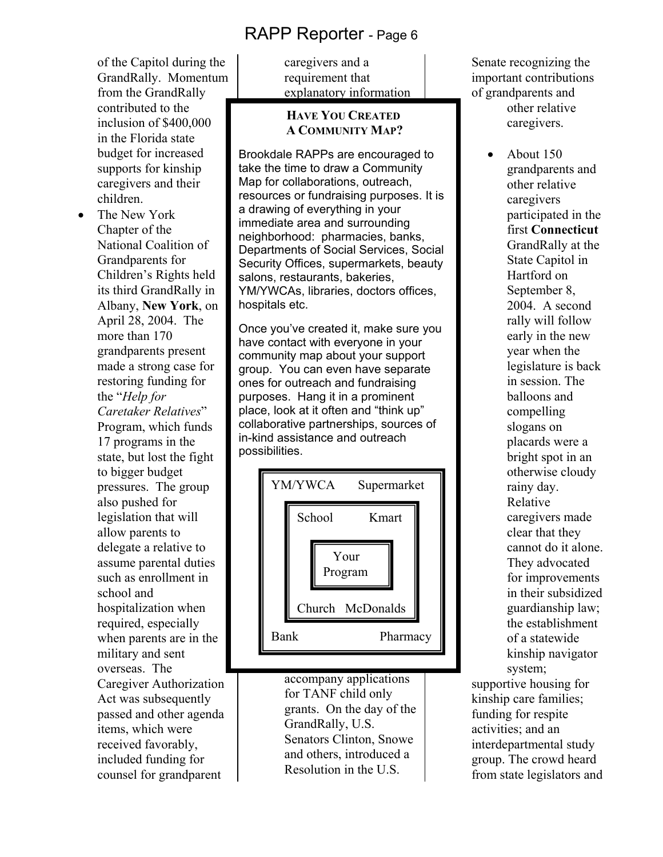of the Capitol during the GrandRally. Momentum from the GrandRally contributed to the inclusion of \$400,000 in the Florida state budget for increased supports for kinship caregivers and their children.

The New York Chapter of the National Coalition of Grandparents for Children's Rights held its third GrandRally in Albany, **New York**, on April 28, 2004. The more than 170 grandparents present made a strong case for restoring funding for the "*Help for Caretaker Relatives*" Program, which funds 17 programs in the state, but lost the fight to bigger budget pressures. The group also pushed for legislation that will allow parents to delegate a relative to assume parental duties such as enrollment in school and hospitalization when required, especially when parents are in the military and sent overseas. The Caregiver Authorization Act was subsequently passed and other agenda items, which were received favorably, included funding for counsel for grandparent

caregivers and a requirement that explanatory information

#### **HAVE YOU CREATED A COMMUNITY MAP?**

Brookdale RAPPs are encouraged to take the time to draw a Community Map for collaborations, outreach, resources or fundraising purposes. It is a drawing of everything in your immediate area and surrounding neighborhood: pharmacies, banks, Departments of Social Services, Social Security Offices, supermarkets, beauty salons, restaurants, bakeries, YM/YWCAs, libraries, doctors offices, hospitals etc.

Once you've created it, make sure you have contact with everyone in your community map about your support group. You can even have separate ones for outreach and fundraising purposes. Hang it in a prominent place, look at it often and "think up" collaborative partnerships, sources of in-kind assistance and outreach possibilities.



accompany applications for TANF child only grants. On the day of the GrandRally, U.S. Senators Clinton, Snowe and others, introduced a Resolution in the U.S.

Senate recognizing the important contributions of grandparents and other relative caregivers.

> • About 150 grandparents and other relative caregivers participated in the first **Connecticut**  GrandRally at the State Capitol in Hartford on September 8, 2004. A second rally will follow early in the new year when the legislature is back in session. The balloons and compelling slogans on placards were a bright spot in an otherwise cloudy rainy day. Relative caregivers made clear that they cannot do it alone. They advocated for improvements in their subsidized guardianship law; the establishment of a statewide kinship navigator system;

supportive housing for kinship care families; funding for respite activities; and an interdepartmental study group. The crowd heard from state legislators and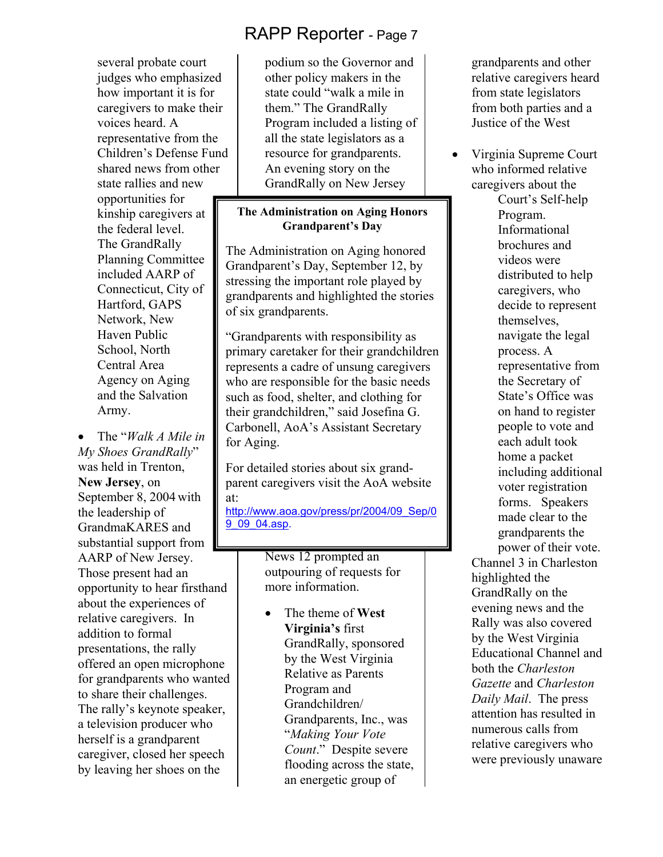several probate court judges who emphasized how important it is for caregivers to make their voices heard. A representative from the Children's Defense Fund shared news from other state rallies and new opportunities for kinship caregivers at the federal level. The GrandRally Planning Committee included AARP of Connecticut, City of Hartford, GAPS Network, New Haven Public School, North Central Area Agency on Aging and the Salvation Army.

• The "*Walk A Mile in My Shoes GrandRally*" was held in Trenton, **New Jersey**, on September 8, 2004 with the leadership of GrandmaKARES and substantial support from AARP of New Jersey. Those present had an opportunity to hear firsthand about the experiences of relative caregivers. In addition to formal presentations, the rally offered an open microphone for grandparents who wanted to share their challenges. The rally's keynote speaker, a television producer who herself is a grandparent caregiver, closed her speech by leaving her shoes on the

podium so the Governor and other policy makers in the state could "walk a mile in them." The GrandRally Program included a listing of all the state legislators as a resource for grandparents. An evening story on the GrandRally on New Jersey

#### **The Administration on Aging Honors Grandparent's Day**

The Administration on Aging honored Grandparent's Day, September 12, by stressing the important role played by grandparents and highlighted the stories of six grandparents.

"Grandparents with responsibility as primary caretaker for their grandchildren represents a cadre of unsung caregivers who are responsible for the basic needs such as food, shelter, and clothing for their grandchildren," said Josefina G. Carbonell, AoA's Assistant Secretary for Aging.

For detailed stories about six grandparent caregivers visit the AoA website at: http://www.aoa.gov/press/pr/2004/09\_Sep/0 9 09 04.asp.

> News 12 prompted an outpouring of requests for more information.

• The theme of **West Virginia's** first GrandRally, sponsored by the West Virginia Relative as Parents Program and Grandchildren/ Grandparents, Inc., was "*Making Your Vote Count*." Despite severe flooding across the state, an energetic group of

grandparents and other relative caregivers heard from state legislators from both parties and a Justice of the West

• Virginia Supreme Court who informed relative caregivers about the

Court's Self-help Program. Informational brochures and videos were distributed to help caregivers, who decide to represent themselves, navigate the legal process. A representative from the Secretary of State's Office was on hand to register people to vote and each adult took home a packet including additional voter registration forms. Speakers made clear to the grandparents the power of their vote.

Channel 3 in Charleston highlighted the GrandRally on the evening news and the Rally was also covered by the West Virginia Educational Channel and both the *Charleston Gazette* and *Charleston Daily Mail*. The press attention has resulted in numerous calls from relative caregivers who were previously unaware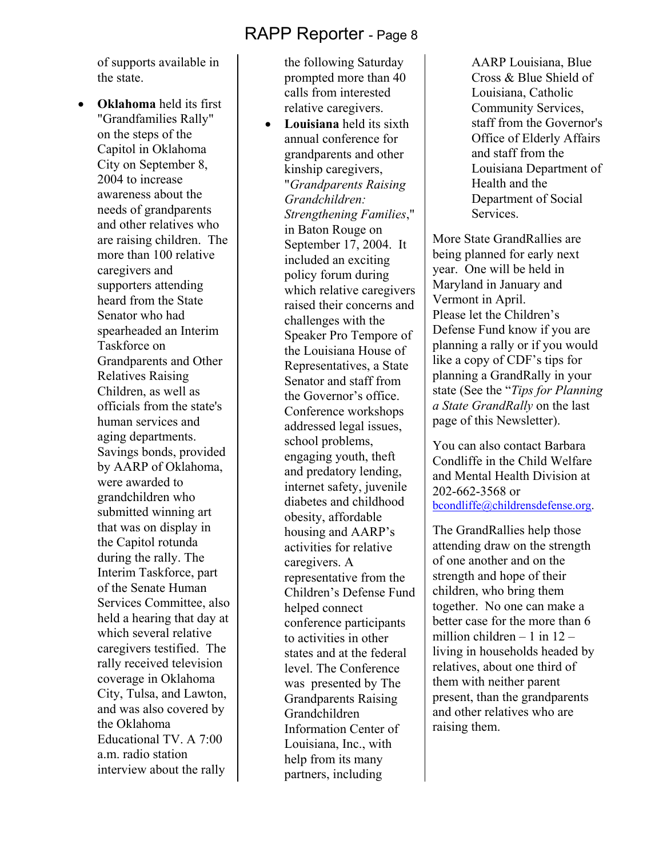of supports available in the state.

• **Oklahoma** held its first "Grandfamilies Rally" on the steps of the Capitol in Oklahoma City on September 8, 2004 to increase awareness about the needs of grandparents and other relatives who are raising children. The more than 100 relative caregivers and supporters attending heard from the State Senator who had spearheaded an Interim Taskforce on Grandparents and Other Relatives Raising Children, as well as officials from the state's human services and aging departments. Savings bonds, provided by AARP of Oklahoma, were awarded to grandchildren who submitted winning art that was on display in the Capitol rotunda during the rally. The Interim Taskforce, part of the Senate Human Services Committee, also held a hearing that day at which several relative caregivers testified. The rally received television coverage in Oklahoma City, Tulsa, and Lawton, and was also covered by the Oklahoma Educational TV. A 7:00 a.m. radio station interview about the rally

the following Saturday prompted more than 40 calls from interested relative caregivers.

• **Louisiana** held its sixth annual conference for grandparents and other kinship caregivers, "*Grandparents Raising Grandchildren: Strengthening Families*," in Baton Rouge on September 17, 2004. It included an exciting policy forum during which relative caregivers raised their concerns and challenges with the Speaker Pro Tempore of the Louisiana House of Representatives, a State Senator and staff from the Governor's office. Conference workshops addressed legal issues, school problems, engaging youth, theft and predatory lending, internet safety, juvenile diabetes and childhood obesity, affordable housing and AARP's activities for relative caregivers. A representative from the Children's Defense Fund helped connect conference participants to activities in other states and at the federal level. The Conference was presented by The Grandparents Raising Grandchildren Information Center of Louisiana, Inc., with help from its many partners, including

AARP Louisiana, Blue Cross & Blue Shield of Louisiana, Catholic Community Services, staff from the Governor's Office of Elderly Affairs and staff from the Louisiana Department of Health and the Department of Social Services.

More State GrandRallies are being planned for early next year. One will be held in Maryland in January and Vermont in April. Please let the Children's Defense Fund know if you are planning a rally or if you would like a copy of CDF's tips for planning a GrandRally in your state (See the "*Tips for Planning a State GrandRally* on the last page of this Newsletter).

You can also contact Barbara Condliffe in the Child Welfare and Mental Health Division at 202-662-3568 or bcondliffe@childrensdefense.org.

The GrandRallies help those attending draw on the strength of one another and on the strength and hope of their children, who bring them together. No one can make a better case for the more than 6 million children  $-1$  in  $12$ living in households headed by relatives, about one third of them with neither parent present, than the grandparents and other relatives who are raising them.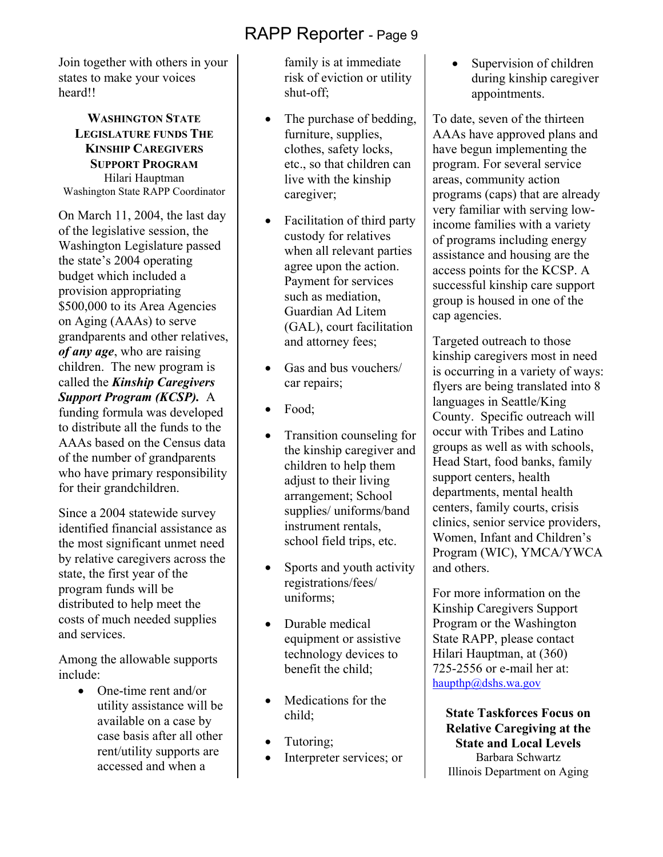Join together with others in your states to make your voices heard!!

#### **WASHINGTON STATE LEGISLATURE FUNDS THE KINSHIP CAREGIVERS SUPPORT PROGRAM** Hilari Hauptman Washington State RAPP Coordinator

On March 11, 2004, the last day of the legislative session, the Washington Legislature passed the state's 2004 operating budget which included a provision appropriating \$500,000 to its Area Agencies on Aging (AAAs) to serve grandparents and other relatives, *of any age*, who are raising children. The new program is called the *Kinship Caregivers Support Program (KCSP).* A

funding formula was developed to distribute all the funds to the AAAs based on the Census data of the number of grandparents who have primary responsibility for their grandchildren.

Since a 2004 statewide survey identified financial assistance as the most significant unmet need by relative caregivers across the state, the first year of the program funds will be distributed to help meet the costs of much needed supplies and services.

Among the allowable supports include:

> • One-time rent and/or utility assistance will be available on a case by case basis after all other rent/utility supports are accessed and when a

family is at immediate risk of eviction or utility shut-off;

- The purchase of bedding, furniture, supplies, clothes, safety locks, etc., so that children can live with the kinship caregiver;
- Facilitation of third party custody for relatives when all relevant parties agree upon the action. Payment for services such as mediation, Guardian Ad Litem (GAL), court facilitation and attorney fees;
- Gas and bus vouchers/ car repairs;
- Food:
- Transition counseling for the kinship caregiver and children to help them adjust to their living arrangement; School supplies/ uniforms/band instrument rentals, school field trips, etc.
- Sports and youth activity registrations/fees/ uniforms;
- Durable medical equipment or assistive technology devices to benefit the child:
- Medications for the child;
- Tutoring;
- Interpreter services; or

• Supervision of children during kinship caregiver appointments.

To date, seven of the thirteen AAAs have approved plans and have begun implementing the program. For several service areas, community action programs (caps) that are already very familiar with serving lowincome families with a variety of programs including energy assistance and housing are the access points for the KCSP. A successful kinship care support group is housed in one of the cap agencies.

Targeted outreach to those kinship caregivers most in need is occurring in a variety of ways: flyers are being translated into 8 languages in Seattle/King County. Specific outreach will occur with Tribes and Latino groups as well as with schools, Head Start, food banks, family support centers, health departments, mental health centers, family courts, crisis clinics, senior service providers, Women, Infant and Children's Program (WIC), YMCA/YWCA and others.

For more information on the Kinship Caregivers Support Program or the Washington State RAPP, please contact Hilari Hauptman, at (360) 725-2556 or e-mail her at: haupthp@dshs.wa.gov

**State Taskforces Focus on Relative Caregiving at the State and Local Levels**  Barbara Schwartz Illinois Department on Aging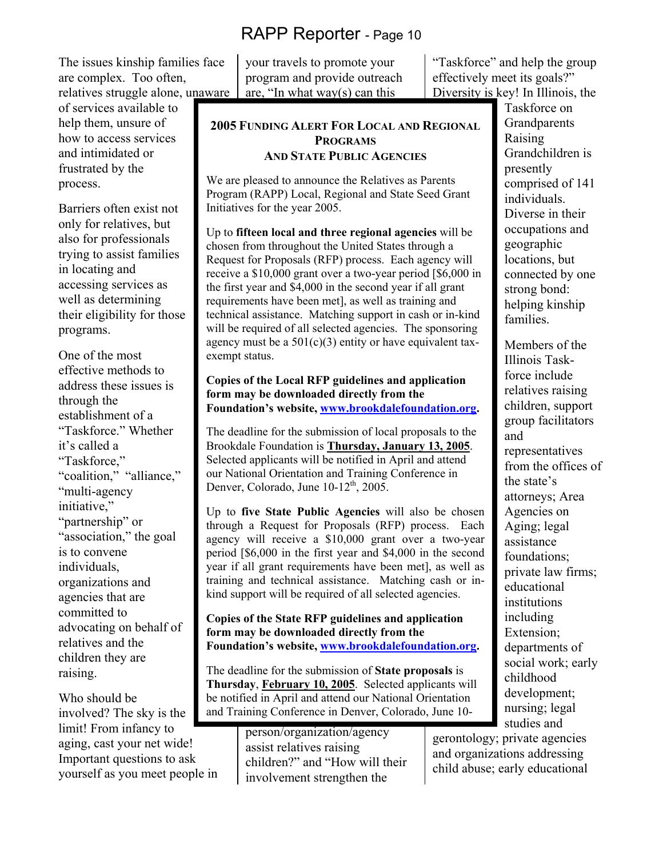The issues kinship families face are complex. Too often, relatives struggle alone, unaware

of services available to help them, unsure of how to access services and intimidated or frustrated by the process.

Barriers often exist not only for relatives, but also for professionals trying to assist families in locating and accessing services as well as determining their eligibility for those programs.

One of the most effective methods to address these issues is through the establishment of a "Taskforce." Whether it's called a "Taskforce," "coalition," "alliance," "multi-agency initiative," "partnership" or "association," the goal is to convene individuals, organizations and agencies that are committed to advocating on behalf of relatives and the children they are raising.

Who should be involved? The sky is the limit! From infancy to aging, cast your net wide! Important questions to ask yourself as you meet people in

your travels to promote your program and provide outreach are, "In what way(s) can this

**2005 FUNDING ALERT FOR LOCAL AND REGIONAL PROGRAMS AND STATE PUBLIC AGENCIES**

We are pleased to announce the Relatives as Parents Program (RAPP) Local, Regional and State Seed Grant Initiatives for the year 2005.

Up to **fifteen local and three regional agencies** will be chosen from throughout the United States through a Request for Proposals (RFP) process. Each agency will receive a \$10,000 grant over a two-year period [\$6,000 in the first year and \$4,000 in the second year if all grant requirements have been met], as well as training and technical assistance. Matching support in cash or in-kind will be required of all selected agencies. The sponsoring agency must be a  $501(c)(3)$  entity or have equivalent taxexempt status.

**Copies of the Local RFP guidelines and application form may be downloaded directly from the Foundation's website, www.brookdalefoundation.org.** 

The deadline for the submission of local proposals to the Brookdale Foundation is **Thursday, January 13, 2005**. Selected applicants will be notified in April and attend our National Orientation and Training Conference in Denver, Colorado, June  $10-12^{th}$ , 2005.

Up to **five State Public Agencies** will also be chosen through a Request for Proposals (RFP) process. Each agency will receive a \$10,000 grant over a two-year period [\$6,000 in the first year and \$4,000 in the second year if all grant requirements have been met], as well as training and technical assistance. Matching cash or inkind support will be required of all selected agencies.

**Copies of the State RFP guidelines and application form may be downloaded directly from the Foundation's website, www.brookdalefoundation.org.** 

The deadline for the submission of **State proposals** is **Thursday**, **February 10, 2005**. Selected applicants will be notified in April and attend our National Orientation and Training Conference in Denver, Colorado, June 10-

> person/organization/agency assist relatives raising children?" and "How will their involvement strengthen the

"Taskforce" and help the group effectively meet its goals?" Diversity is key! In Illinois, the

> Taskforce on **Grandparents** Raising Grandchildren is presently comprised of 141 individuals. Diverse in their occupations and geographic locations, but connected by one strong bond: helping kinship families.

Members of the Illinois Taskforce include relatives raising children, support group facilitators and representatives from the offices of the state's attorneys; Area Agencies on Aging; legal assistance foundations; private law firms; educational institutions including Extension; departments of social work; early childhood development; nursing; legal studies and

gerontology; private agencies and organizations addressing child abuse; early educational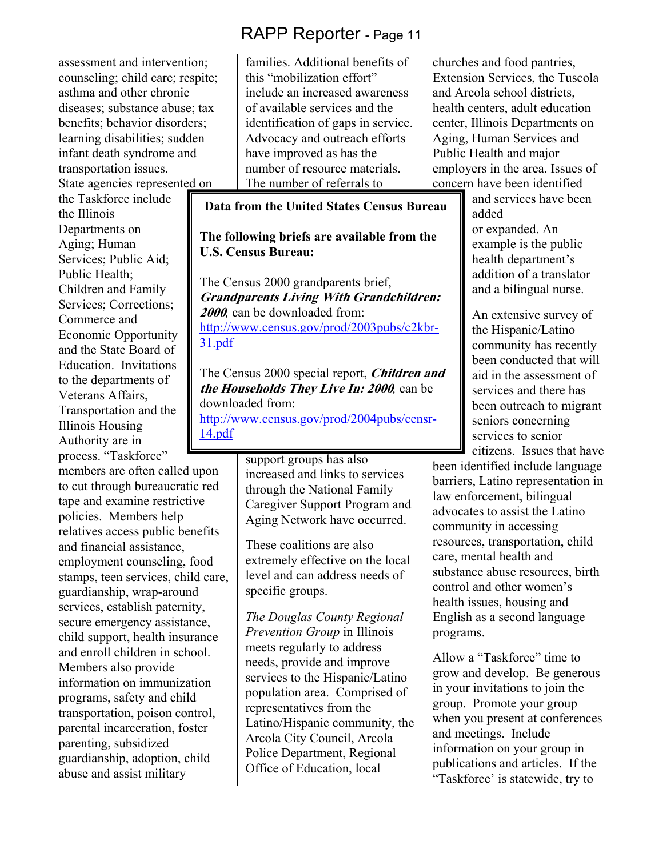assessment and intervention; counseling; child care; respite; asthma and other chronic diseases; substance abuse; tax benefits; behavior disorders; learning disabilities; sudden infant death syndrome and transportation issues. State agencies represented on

the Taskforce include the Illinois Departments on Aging; Human Services; Public Aid; Public Health; Children and Family Services; Corrections; Commerce and Economic Opportunity and the State Board of Education. Invitations to the departments of Veterans Affairs, Transportation and the Illinois Housing Authority are in process. "Taskforce"

members are often called upon to cut through bureaucratic red tape and examine restrictive policies. Members help relatives access public benefits and financial assistance, employment counseling, food stamps, teen services, child care, guardianship, wrap-around services, establish paternity, secure emergency assistance, child support, health insurance and enroll children in school. Members also provide information on immunization programs, safety and child transportation, poison control, parental incarceration, foster parenting, subsidized guardianship, adoption, child abuse and assist military

families. Additional benefits of this "mobilization effort" include an increased awareness of available services and the identification of gaps in service. Advocacy and outreach efforts have improved as has the number of resource materials. The number of referrals to

**Data from the United States Census Bureau** 

#### **The following briefs are available from the U.S. Census Bureau:**

The Census 2000 grandparents brief, **Grandparents Living With Grandchildren: <sup>2000</sup>***,* can be downloaded from: http://www.census.gov/prod/2003pubs/c2kbr-31.pdf

The Census 2000 special report, **Children and the Households They Live In: 2000***,* can be downloaded from: http://www.census.gov/prod/2004pubs/censr-

14.pdf

support groups has also increased and links to services through the National Family Caregiver Support Program and Aging Network have occurred.

These coalitions are also extremely effective on the local level and can address needs of specific groups.

*The Douglas County Regional Prevention Group* in Illinois meets regularly to address needs, provide and improve services to the Hispanic/Latino population area. Comprised of representatives from the Latino/Hispanic community, the Arcola City Council, Arcola Police Department, Regional Office of Education, local

churches and food pantries, Extension Services, the Tuscola and Arcola school districts, health centers, adult education center, Illinois Departments on Aging, Human Services and Public Health and major employers in the area. Issues of concern have been identified

> and services have been added or expanded. An example is the public health department's addition of a translator and a bilingual nurse.

An extensive survey of the Hispanic/Latino community has recently been conducted that will aid in the assessment of services and there has been outreach to migrant seniors concerning services to senior citizens. Issues that have

been identified include language barriers, Latino representation in law enforcement, bilingual advocates to assist the Latino community in accessing resources, transportation, child care, mental health and substance abuse resources, birth control and other women's health issues, housing and English as a second language programs.

Allow a "Taskforce" time to grow and develop. Be generous in your invitations to join the group. Promote your group when you present at conferences and meetings. Include information on your group in publications and articles. If the "Taskforce' is statewide, try to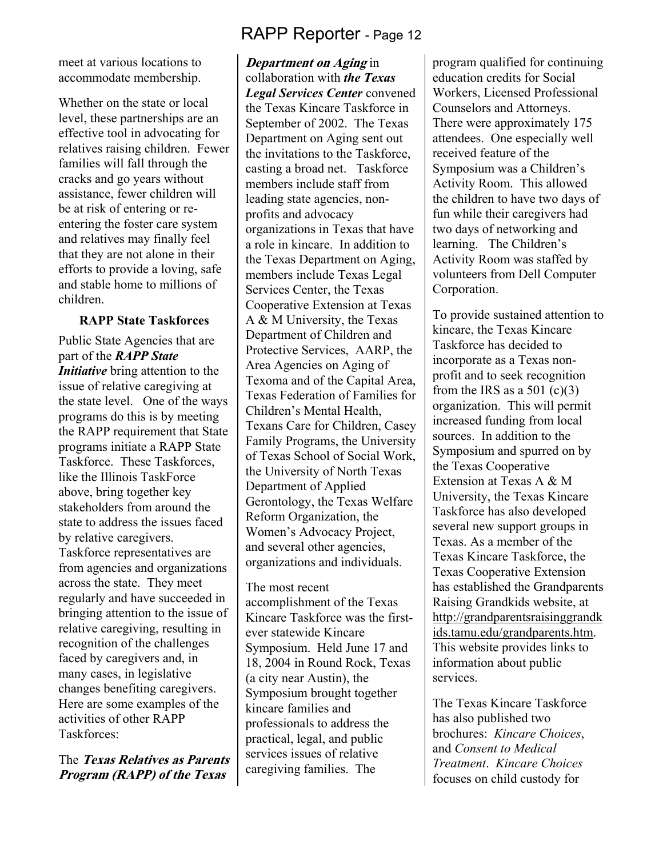meet at various locations to accommodate membership.

Whether on the state or local level, these partnerships are an effective tool in advocating for relatives raising children. Fewer families will fall through the cracks and go years without assistance, fewer children will be at risk of entering or reentering the foster care system and relatives may finally feel that they are not alone in their efforts to provide a loving, safe and stable home to millions of children.

#### **RAPP State Taskforces**

Public State Agencies that are part of the *RAPP State <i>Initiative* bring attention to the issue of relative caregiving at the state level. One of the ways programs do this is by meeting the RAPP requirement that State programs initiate a RAPP State Taskforce. These Taskforces, like the Illinois TaskForce above, bring together key stakeholders from around the state to address the issues faced by relative caregivers. Taskforce representatives are from agencies and organizations across the state. They meet regularly and have succeeded in bringing attention to the issue of relative caregiving, resulting in recognition of the challenges faced by caregivers and, in many cases, in legislative changes benefiting caregivers. Here are some examples of the activities of other RAPP Taskforces:

The **Texas Relatives as Parents Program (RAPP) of the Texas** 

# RAPP Reporter - Page 12

**Department on Aging** in collaboration with *the Texas Legal Services Center* convened the Texas Kincare Taskforce in September of 2002. The Texas Department on Aging sent out the invitations to the Taskforce, casting a broad net. Taskforce members include staff from leading state agencies, nonprofits and advocacy organizations in Texas that have a role in kincare. In addition to the Texas Department on Aging, members include Texas Legal Services Center, the Texas Cooperative Extension at Texas A & M University, the Texas Department of Children and Protective Services, AARP, the Area Agencies on Aging of Texoma and of the Capital Area, Texas Federation of Families for Children's Mental Health, Texans Care for Children, Casey Family Programs, the University of Texas School of Social Work, the University of North Texas Department of Applied Gerontology, the Texas Welfare Reform Organization, the Women's Advocacy Project, and several other agencies, organizations and individuals.

The most recent accomplishment of the Texas Kincare Taskforce was the firstever statewide Kincare Symposium. Held June 17 and 18, 2004 in Round Rock, Texas (a city near Austin), the Symposium brought together kincare families and professionals to address the practical, legal, and public services issues of relative caregiving families. The

program qualified for continuing education credits for Social Workers, Licensed Professional Counselors and Attorneys. There were approximately 175 attendees. One especially well received feature of the Symposium was a Children's Activity Room. This allowed the children to have two days of fun while their caregivers had two days of networking and learning. The Children's Activity Room was staffed by volunteers from Dell Computer Corporation.

To provide sustained attention to kincare, the Texas Kincare Taskforce has decided to incorporate as a Texas nonprofit and to seek recognition from the IRS as a 501 (c)(3) organization. This will permit increased funding from local sources. In addition to the Symposium and spurred on by the Texas Cooperative Extension at Texas A & M University, the Texas Kincare Taskforce has also developed several new support groups in Texas. As a member of the Texas Kincare Taskforce, the Texas Cooperative Extension has established the Grandparents Raising Grandkids website, at http://grandparentsraisinggrandk ids.tamu.edu/grandparents.htm. This website provides links to information about public services.

The Texas Kincare Taskforce has also published two brochures: *Kincare Choices*, and *Consent to Medical Treatment*. *Kincare Choices* focuses on child custody for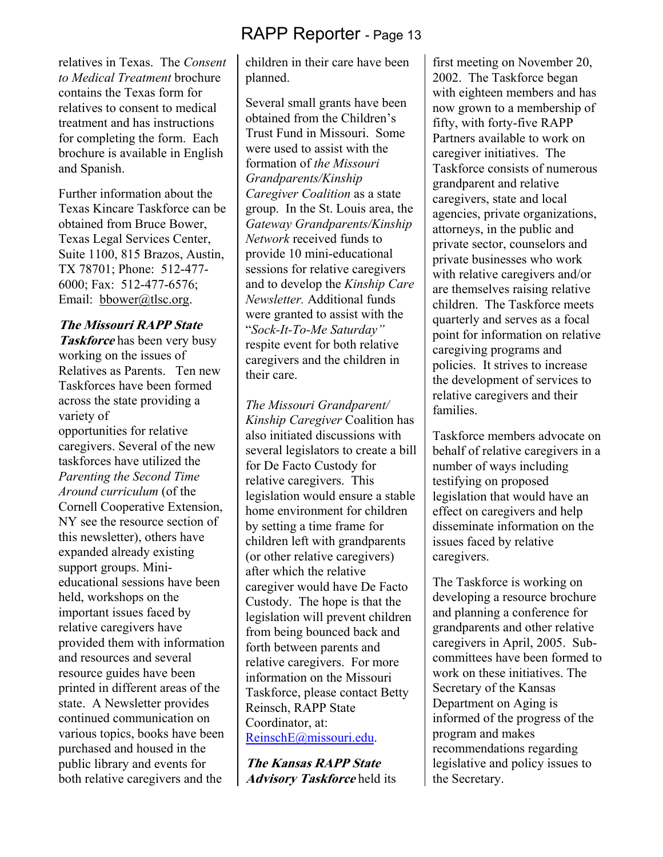relatives in Texas. The *Consent to Medical Treatment* brochure contains the Texas form for relatives to consent to medical treatment and has instructions for completing the form. Each brochure is available in English and Spanish.

Further information about the Texas Kincare Taskforce can be obtained from Bruce Bower, Texas Legal Services Center, Suite 1100, 815 Brazos, Austin, TX 78701; Phone: 512-477- 6000; Fax: 512-477-6576; Email: bbower@tlsc.org.

#### **The Missouri RAPP State**

**Taskforce** has been very busy working on the issues of Relatives as Parents. Ten new Taskforces have been formed across the state providing a variety of opportunities for relative caregivers. Several of the new taskforces have utilized the *Parenting the Second Time Around curriculum* (of the Cornell Cooperative Extension, NY see the resource section of this newsletter), others have expanded already existing support groups. Minieducational sessions have been held, workshops on the important issues faced by relative caregivers have provided them with information and resources and several resource guides have been printed in different areas of the state. A Newsletter provides continued communication on various topics, books have been purchased and housed in the public library and events for both relative caregivers and the

children in their care have been planned.

Several small grants have been obtained from the Children's Trust Fund in Missouri. Some were used to assist with the formation of *the Missouri Grandparents/Kinship Caregiver Coalition* as a state group. In the St. Louis area, the *Gateway Grandparents/Kinship Network* received funds to provide 10 mini-educational sessions for relative caregivers and to develop the *Kinship Care Newsletter.* Additional funds were granted to assist with the "*Sock-It-To-Me Saturday"*  respite event for both relative caregivers and the children in their care.

*The Missouri Grandparent/ Kinship Caregiver* Coalition has also initiated discussions with several legislators to create a bill for De Facto Custody for relative caregivers. This legislation would ensure a stable home environment for children by setting a time frame for children left with grandparents (or other relative caregivers) after which the relative caregiver would have De Facto Custody. The hope is that the legislation will prevent children from being bounced back and forth between parents and relative caregivers. For more information on the Missouri Taskforce, please contact Betty Reinsch, RAPP State Coordinator, at: ReinschE@missouri.edu.

**The Kansas RAPP State Advisory Taskforce** held its first meeting on November 20, 2002. The Taskforce began with eighteen members and has now grown to a membership of fifty, with forty-five RAPP Partners available to work on caregiver initiatives. The Taskforce consists of numerous grandparent and relative caregivers, state and local agencies, private organizations, attorneys, in the public and private sector, counselors and private businesses who work with relative caregivers and/or are themselves raising relative children. The Taskforce meets quarterly and serves as a focal point for information on relative caregiving programs and policies. It strives to increase the development of services to relative caregivers and their families.

Taskforce members advocate on behalf of relative caregivers in a number of ways including testifying on proposed legislation that would have an effect on caregivers and help disseminate information on the issues faced by relative caregivers.

The Taskforce is working on developing a resource brochure and planning a conference for grandparents and other relative caregivers in April, 2005. Subcommittees have been formed to work on these initiatives. The Secretary of the Kansas Department on Aging is informed of the progress of the program and makes recommendations regarding legislative and policy issues to the Secretary.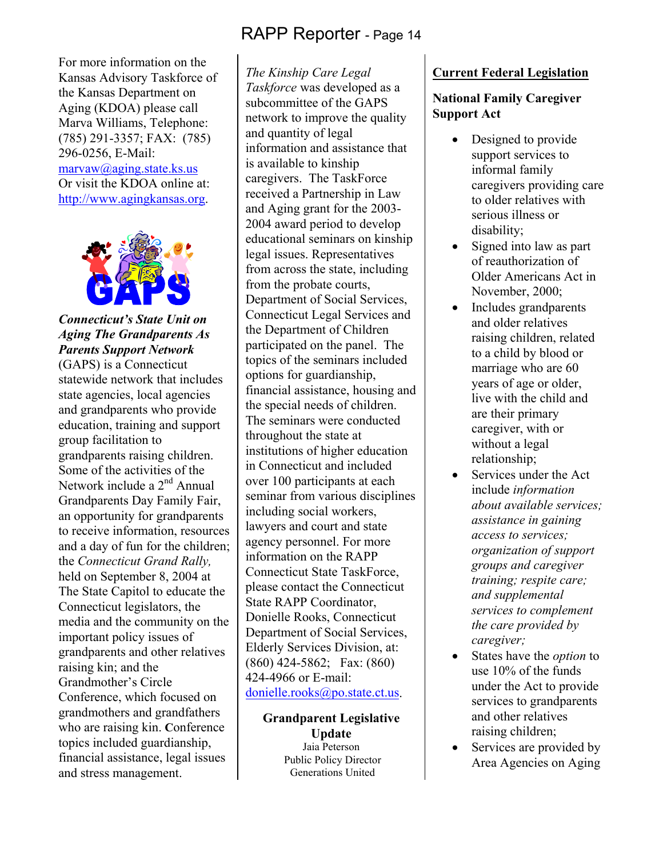For more information on the Kansas Advisory Taskforce of the Kansas Department on Aging (KDOA) please call Marva Williams, Telephone: (785) 291-3357; FAX: (785) 296-0256, E-Mail: marvaw@aging.state.ks.us Or visit the KDOA online at: http://www.agingkansas.org.



#### *Connecticut's State Unit on Aging The Grandparents As Parents Support Network*

(GAPS) is a Connecticut statewide network that includes state agencies, local agencies and grandparents who provide education, training and support group facilitation to grandparents raising children. Some of the activities of the Network include a  $2<sup>nd</sup>$  Annual Grandparents Day Family Fair, an opportunity for grandparents to receive information, resources and a day of fun for the children; the *Connecticut Grand Rally,* held on September 8, 2004 at The State Capitol to educate the Connecticut legislators, the media and the community on the important policy issues of grandparents and other relatives raising kin; and the Grandmother's Circle Conference, which focused on grandmothers and grandfathers who are raising kin. **C**onference topics included guardianship, financial assistance, legal issues and stress management.

*The Kinship Care Legal Taskforce* was developed as a subcommittee of the GAPS network to improve the quality and quantity of legal information and assistance that is available to kinship caregivers. The TaskForce received a Partnership in Law and Aging grant for the 2003- 2004 award period to develop educational seminars on kinship legal issues. Representatives from across the state, including from the probate courts, Department of Social Services, Connecticut Legal Services and the Department of Children participated on the panel. The topics of the seminars included options for guardianship, financial assistance, housing and the special needs of children. The seminars were conducted throughout the state at institutions of higher education in Connecticut and included over 100 participants at each seminar from various disciplines including social workers, lawyers and court and state agency personnel. For more information on the RAPP Connecticut State TaskForce, please contact the Connecticut State RAPP Coordinator, Donielle Rooks, Connecticut Department of Social Services, Elderly Services Division, at: (860) 424-5862; Fax: (860) 424-4966 or E-mail: donielle.rooks@po.state.ct.us.

> **Grandparent Legislative Update**  Jaia Peterson Public Policy Director Generations United

#### **Current Federal Legislation**

#### **National Family Caregiver Support Act**

- Designed to provide support services to informal family caregivers providing care to older relatives with serious illness or disability;
- Signed into law as part of reauthorization of Older Americans Act in November, 2000;
- Includes grandparents and older relatives raising children, related to a child by blood or marriage who are 60 years of age or older, live with the child and are their primary caregiver, with or without a legal relationship;
- Services under the Act include *information about available services; assistance in gaining access to services; organization of support groups and caregiver training; respite care; and supplemental services to complement the care provided by caregiver;*
- States have the *option* to use 10% of the funds under the Act to provide services to grandparents and other relatives raising children;
- Services are provided by Area Agencies on Aging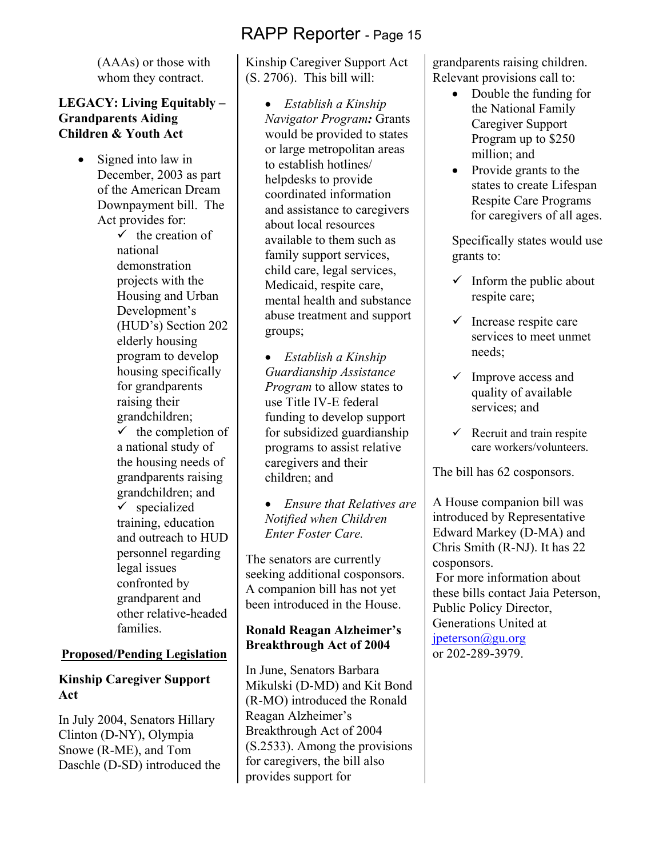(AAAs) or those with whom they contract.

#### **LEGACY: Living Equitably – Grandparents Aiding Children & Youth Act**

Signed into law in December, 2003 as part of the American Dream Downpayment bill. The Act provides for:

 $\checkmark$  the creation of national demonstration projects with the Housing and Urban Development's (HUD's) Section 202 elderly housing program to develop housing specifically for grandparents raising their grandchildren;  $\checkmark$  the completion of a national study of the housing needs of grandparents raising grandchildren; and  $\checkmark$  specialized training, education and outreach to HUD personnel regarding

legal issues confronted by grandparent and other relative-headed families.

#### **Proposed/Pending Legislation**

#### **Kinship Caregiver Support Act**

In July 2004, Senators Hillary Clinton (D-NY), Olympia Snowe (R-ME), and Tom Daschle (D-SD) introduced the

Kinship Caregiver Support Act (S. 2706). This bill will:

> • *Establish a Kinship Navigator Program:* Grants would be provided to states or large metropolitan areas to establish hotlines/ helpdesks to provide coordinated information and assistance to caregivers about local resources available to them such as family support services, child care, legal services, Medicaid, respite care, mental health and substance abuse treatment and support groups;

• *Establish a Kinship Guardianship Assistance Program* to allow states to use Title IV-E federal funding to develop support for subsidized guardianship programs to assist relative caregivers and their children; and

• *Ensure that Relatives are Notified when Children Enter Foster Care.* 

The senators are currently seeking additional cosponsors. A companion bill has not yet been introduced in the House.

#### **Ronald Reagan Alzheimer's Breakthrough Act of 2004**

In June, Senators Barbara Mikulski (D-MD) and Kit Bond (R-MO) introduced the Ronald Reagan Alzheimer's Breakthrough Act of 2004 (S.2533). Among the provisions for caregivers, the bill also provides support for

grandparents raising children. Relevant provisions call to:

- Double the funding for the National Family Caregiver Support Program up to \$250 million; and
- Provide grants to the states to create Lifespan Respite Care Programs for caregivers of all ages.

Specifically states would use grants to:

- $\checkmark$  Inform the public about respite care;
- $\checkmark$  Increase respite care services to meet unmet needs;
- $\checkmark$  Improve access and quality of available services; and
- $\checkmark$  Recruit and train respite care workers/volunteers.

The bill has 62 cosponsors.

A House companion bill was introduced by Representative Edward Markey (D-MA) and Chris Smith (R-NJ). It has 22 cosponsors.

 For more information about these bills contact Jaia Peterson, Public Policy Director, Generations United at jpeterson@gu.org or 202-289-3979.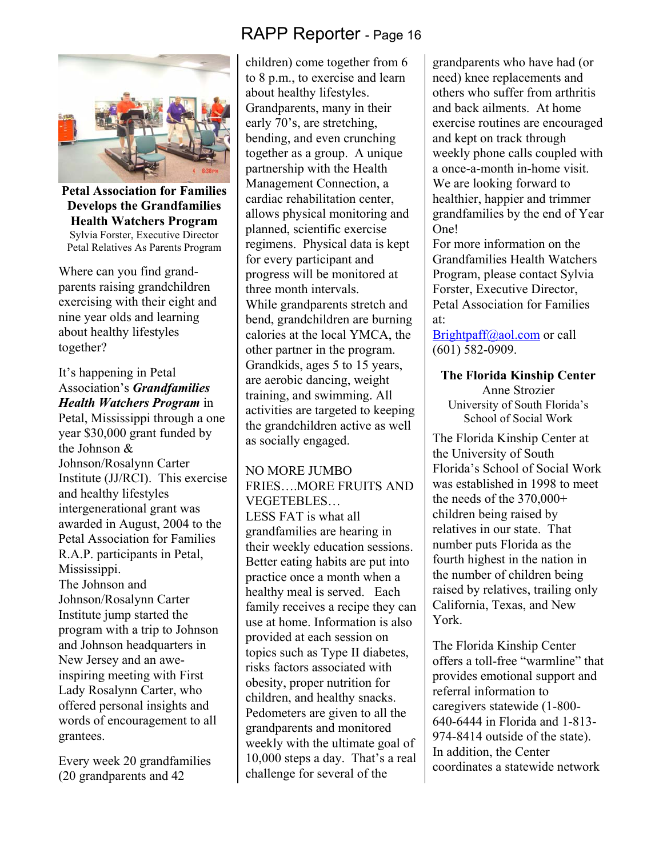

**Petal Association for Families Develops the Grandfamilies Health Watchers Program**  Sylvia Forster, Executive Director Petal Relatives As Parents Program

Where can you find grandparents raising grandchildren exercising with their eight and nine year olds and learning about healthy lifestyles together?

#### It's happening in Petal Association's *Grandfamilies Health Watchers Program* in

Petal, Mississippi through a one year \$30,000 grant funded by the Johnson & Johnson/Rosalynn Carter Institute (JJ/RCI). This exercise and healthy lifestyles intergenerational grant was awarded in August, 2004 to the Petal Association for Families R.A.P. participants in Petal, Mississippi. The Johnson and Johnson/Rosalynn Carter Institute jump started the program with a trip to Johnson and Johnson headquarters in New Jersey and an aweinspiring meeting with First Lady Rosalynn Carter, who offered personal insights and words of encouragement to all grantees.

Every week 20 grandfamilies (20 grandparents and 42

# RAPP Reporter - Page 16

children) come together from 6 to 8 p.m., to exercise and learn about healthy lifestyles. Grandparents, many in their early 70's, are stretching, bending, and even crunching together as a group. A unique partnership with the Health Management Connection, a cardiac rehabilitation center, allows physical monitoring and planned, scientific exercise regimens. Physical data is kept for every participant and progress will be monitored at three month intervals. While grandparents stretch and bend, grandchildren are burning calories at the local YMCA, the other partner in the program. Grandkids, ages 5 to 15 years, are aerobic dancing, weight training, and swimming. All activities are targeted to keeping the grandchildren active as well as socially engaged.

NO MORE JUMBO FRIES MORE FRUITS AND VEGETEBLES… LESS FAT is what all grandfamilies are hearing in their weekly education sessions. Better eating habits are put into practice once a month when a healthy meal is served. Each family receives a recipe they can use at home. Information is also provided at each session on topics such as Type II diabetes, risks factors associated with obesity, proper nutrition for children, and healthy snacks. Pedometers are given to all the grandparents and monitored weekly with the ultimate goal of 10,000 steps a day. That's a real challenge for several of the

grandparents who have had (or need) knee replacements and others who suffer from arthritis and back ailments. At home exercise routines are encouraged and kept on track through weekly phone calls coupled with a once-a-month in-home visit. We are looking forward to healthier, happier and trimmer grandfamilies by the end of Year One!

For more information on the Grandfamilies Health Watchers Program, please contact Sylvia Forster, Executive Director, Petal Association for Families at:

Brightpaff@aol.com or call (601) 582-0909.

**The Florida Kinship Center**  Anne Strozier University of South Florida's School of Social Work

The Florida Kinship Center at the University of South Florida's School of Social Work was established in 1998 to meet the needs of the 370,000+ children being raised by relatives in our state. That number puts Florida as the fourth highest in the nation in the number of children being raised by relatives, trailing only California, Texas, and New York.

The Florida Kinship Center offers a toll-free "warmline" that provides emotional support and referral information to caregivers statewide (1-800- 640-6444 in Florida and 1-813- 974-8414 outside of the state). In addition, the Center coordinates a statewide network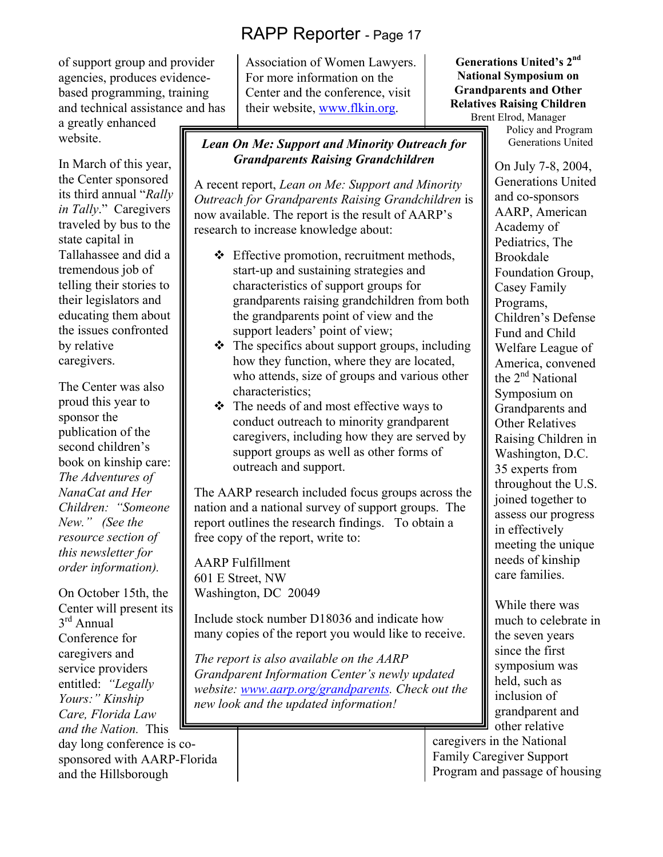of support group and provider agencies, produces evidencebased programming, training and technical assistance and has

a greatly enhanced website.

In March of this year, the Center sponsored its third annual "*Rally in Tally*." Caregivers traveled by bus to the state capital in Tallahassee and did a tremendous job of telling their stories to their legislators and educating them about the issues confronted by relative caregivers.

The Center was also proud this year to sponsor the publication of the second children's book on kinship care: *The Adventures of NanaCat and Her Children: "Someone New." (See the resource section of this newsletter for order information).*

On October 15th, the Center will present its 3rd Annual Conference for caregivers and service providers entitled: *"Legally Yours:" Kinship Care, Florida Law and the Nation.* This day long conference is cosponsored with AARP-Florida and the Hillsborough

Association of Women Lawyers. For more information on the Center and the conference, visit their website, www.flkin.org.

#### *Lean On Me: Support and Minority Outreach for Grandparents Raising Grandchildren*

A recent report, *Lean on Me: Support and Minority Outreach for Grandparents Raising Grandchildren* is now available. The report is the result of AARP's research to increase knowledge about:

- Effective promotion, recruitment methods, start-up and sustaining strategies and characteristics of support groups for grandparents raising grandchildren from both the grandparents point of view and the support leaders' point of view;
- $\triangle$  The specifics about support groups, including how they function, where they are located, who attends, size of groups and various other characteristics;
- $\triangle$  The needs of and most effective ways to conduct outreach to minority grandparent caregivers, including how they are served by support groups as well as other forms of outreach and support.

The AARP research included focus groups across the nation and a national survey of support groups. The report outlines the research findings. To obtain a free copy of the report, write to:

AARP Fulfillment 601 E Street, NW Washington, DC 20049

Include stock number D18036 and indicate how many copies of the report you would like to receive.

*The report is also available on the AARP Grandparent Information Center's newly updated website: www.aarp.org/grandparents. Check out the new look and the updated information!* 

**Generations United's 2nd National Symposium on Grandparents and Other Relatives Raising Children**  Brent Elrod, Manager

Policy and Program Generations United

On July 7-8, 2004, Generations United and co-sponsors AARP, American Academy of Pediatrics, The Brookdale Foundation Group, Casey Family Programs, Children's Defense Fund and Child Welfare League of America, convened the  $2<sup>nd</sup>$  National Symposium on Grandparents and Other Relatives Raising Children in Washington, D.C. 35 experts from throughout the U.S. joined together to assess our progress in effectively meeting the unique needs of kinship care families.

While there was much to celebrate in the seven years since the first symposium was held, such as inclusion of grandparent and other relative

caregivers in the National Family Caregiver Support Program and passage of housing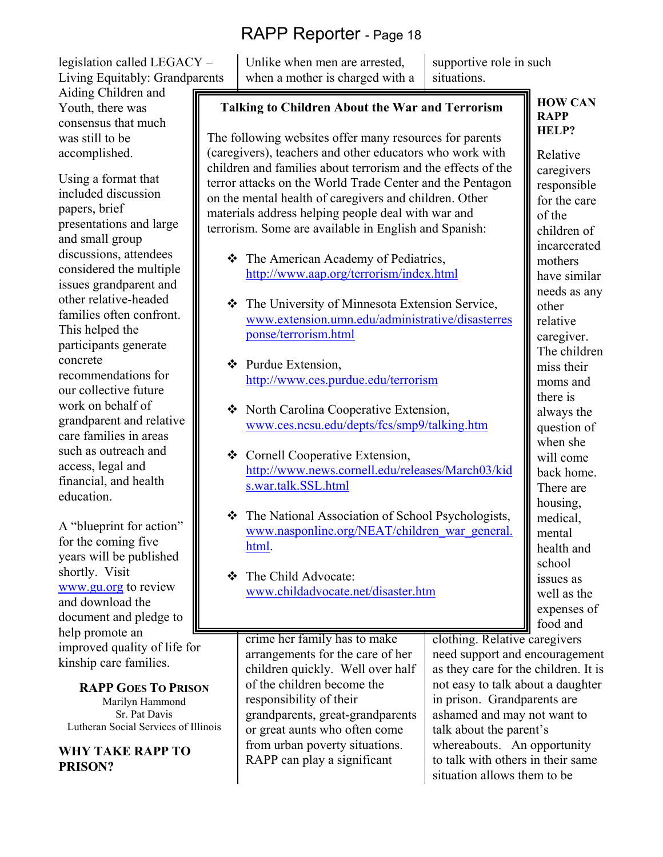legislation called LEGACY – Living Equitably: Grandparents

Aiding Children and Youth, there was consensus that much was still to be accomplished.

Using a format that included discussion papers, brief presentations and large and small group discussions, attendees considered the multiple issues grandparent and other relative-headed families often confront. This helped the participants generate concrete recommendations for our collective future work on behalf of grandparent and relative care families in areas such as outreach and access, legal and financial, and health education.

A "blueprint for action" for the coming five years will be published shortly. Visit www.gu.org to review and download the document and pledge to help promote an improved quality of life for kinship care families.

**RAPP GOES TO PRISON** Marilyn Hammond Sr. Pat Davis Lutheran Social Services of Illinois

**WHY TAKE RAPP TO PRISON?** 

Unlike when men are arrested, when a mother is charged with a supportive role in such situations.

# **Talking to Children About the War and Terrorism**

The following websites offer many resources for parents (caregivers), teachers and other educators who work with children and families about terrorism and the effects of the terror attacks on the World Trade Center and the Pentagon on the mental health of caregivers and children. Other materials address helping people deal with war and terrorism. Some are available in English and Spanish:

- ❖ The American Academy of Pediatrics, http://www.aap.org/terrorism/index.html
- The University of Minnesota Extension Service, www.extension.umn.edu/administrative/disasterres ponse/terrorism.html
- ❖ Purdue Extension. http://www.ces.purdue.edu/terrorism
- ❖ North Carolina Cooperative Extension, www.ces.ncsu.edu/depts/fcs/smp9/talking.htm
- Cornell Cooperative Extension, http://www.news.cornell.edu/releases/March03/kid s.war.talk.SSL.html
- The National Association of School Psychologists, www.nasponline.org/NEAT/children\_war\_general. html.
- The Child Advocate: www.childadvocate.net/disaster.htm

crime her family has to make arrangements for the care of her children quickly. Well over half of the children become the responsibility of their grandparents, great-grandparents or great aunts who often come from urban poverty situations. RAPP can play a significant

school issues as well as the expenses of food and clothing. Relative caregivers need support and encouragement as they care for the children. It is not easy to talk about a daughter in prison. Grandparents are ashamed and may not want to talk about the parent's

whereabouts. An opportunity to talk with others in their same situation allows them to be

**HOW CAN RAPP HELP?** 

Relative caregivers responsible for the care of the children of incarcerated mothers have similar needs as any other relative caregiver. The children miss their moms and there is always the question of when she will come back home. There are housing, medical, mental health and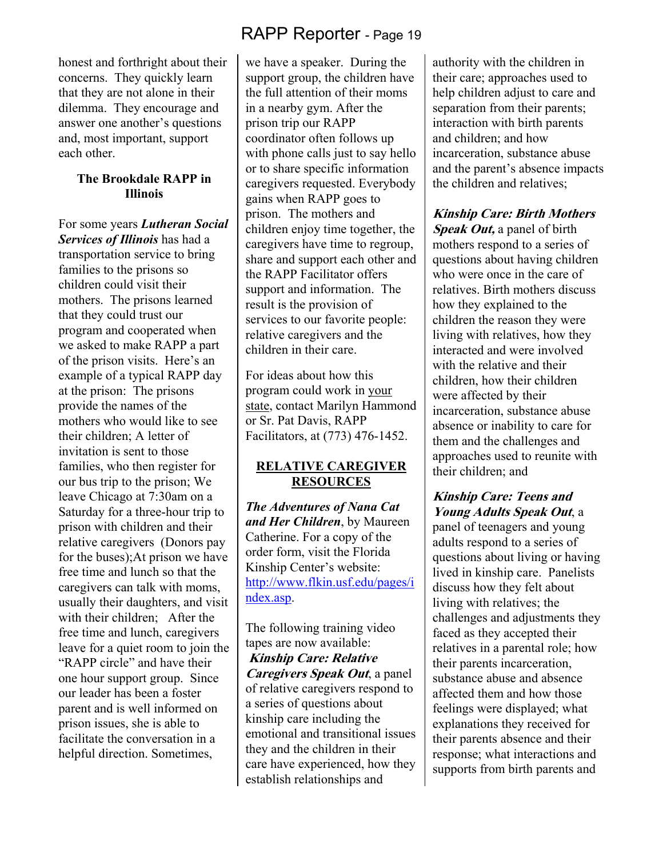honest and forthright about their concerns. They quickly learn that they are not alone in their dilemma. They encourage and answer one another's questions and, most important, support each other.

#### **The Brookdale RAPP in Illinois**

For some years *Lutheran Social Services of Illinois* has had a transportation service to bring families to the prisons so children could visit their mothers. The prisons learned that they could trust our program and cooperated when we asked to make RAPP a part of the prison visits. Here's an example of a typical RAPP day at the prison: The prisons provide the names of the mothers who would like to see their children; A letter of invitation is sent to those families, who then register for our bus trip to the prison; We leave Chicago at 7:30am on a Saturday for a three-hour trip to prison with children and their relative caregivers (Donors pay for the buses);At prison we have free time and lunch so that the caregivers can talk with moms, usually their daughters, and visit with their children: After the free time and lunch, caregivers leave for a quiet room to join the "RAPP circle" and have their one hour support group. Since our leader has been a foster parent and is well informed on prison issues, she is able to facilitate the conversation in a helpful direction. Sometimes,

# RAPP Reporter - Page 19

we have a speaker. During the support group, the children have the full attention of their moms in a nearby gym. After the prison trip our RAPP coordinator often follows up with phone calls just to say hello or to share specific information caregivers requested. Everybody gains when RAPP goes to prison. The mothers and children enjoy time together, the caregivers have time to regroup, share and support each other and the RAPP Facilitator offers support and information. The result is the provision of services to our favorite people: relative caregivers and the children in their care.

For ideas about how this program could work in your state, contact Marilyn Hammond or Sr. Pat Davis, RAPP Facilitators, at (773) 476-1452.

#### **RELATIVE CAREGIVER RESOURCES**

*The Adventures of Nana Cat and Her Children*, by Maureen Catherine. For a copy of the order form, visit the Florida Kinship Center's website: http://www.flkin.usf.edu/pages/i ndex.asp.

The following training video tapes are now available: **Kinship Care: Relative Caregivers Speak Out**, a panel of relative caregivers respond to a series of questions about kinship care including the emotional and transitional issues they and the children in their care have experienced, how they establish relationships and

authority with the children in their care; approaches used to help children adjust to care and separation from their parents; interaction with birth parents and children; and how incarceration, substance abuse and the parent's absence impacts the children and relatives;

#### **Kinship Care: Birth Mothers**

**Speak Out,** a panel of birth mothers respond to a series of questions about having children who were once in the care of relatives. Birth mothers discuss how they explained to the children the reason they were living with relatives, how they interacted and were involved with the relative and their children, how their children were affected by their incarceration, substance abuse absence or inability to care for them and the challenges and approaches used to reunite with their children; and

#### **Kinship Care: Teens and Young Adults Speak Out**, a

panel of teenagers and young adults respond to a series of questions about living or having lived in kinship care. Panelists discuss how they felt about living with relatives; the challenges and adjustments they faced as they accepted their relatives in a parental role; how their parents incarceration, substance abuse and absence affected them and how those feelings were displayed; what explanations they received for their parents absence and their response; what interactions and supports from birth parents and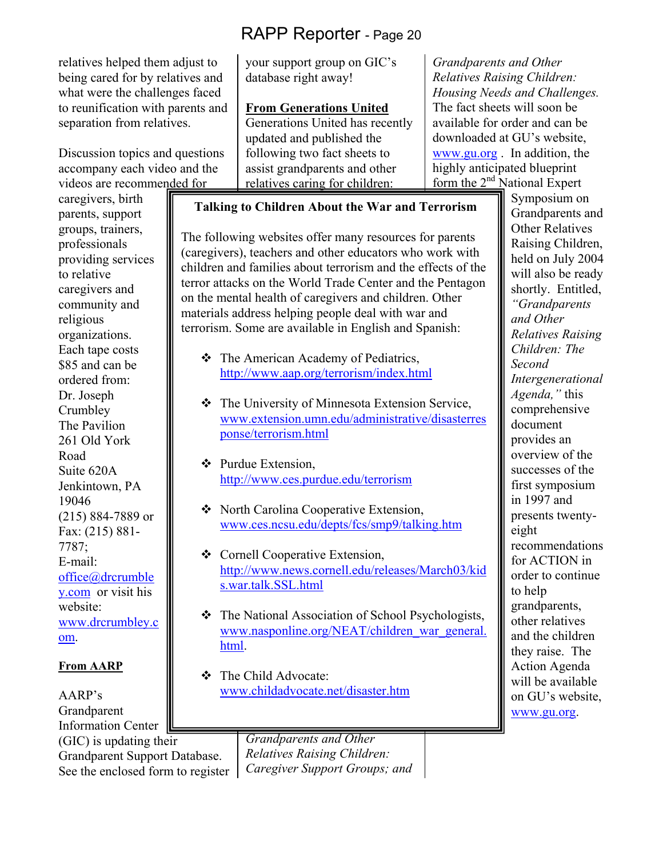relatives helped them adjust to being cared for by relatives and what were the challenges faced to reunification with parents and separation from relatives.

Discussion topics and questions accompany each video and the videos are recommended for

caregivers, birth parents, support groups, trainers, professionals providing services to relative caregivers and community and religious organizations. Each tape costs \$85 and can be ordered from: Dr. Joseph **Crumbley** The Pavilion 261 Old York Road Suite 620A Jenkintown, PA 19046 (215) 884-7889 or Fax: (215) 881- 7787; E-mail: office@drcrumble y.com or visit his website: www.drcrumbley.c om.

#### **From AARP**

AARP's Grandparent Information Center (GIC) is updating their Grandparent Support Database. See the enclosed form to register your support group on GIC's database right away!

#### **From Generations United**

Generations United has recently updated and published the following two fact sheets to assist grandparents and other relatives caring for children:

*Grandparents and Other Relatives Raising Children: Housing Needs and Challenges.*  The fact sheets will soon be available for order and can be downloaded at GU's website, www.gu.org . In addition, the highly anticipated blueprint form the  $2<sup>nd</sup>$  National Expert

#### **Talking to Children About the War and Terrorism**

The following websites offer many resources for parents (caregivers), teachers and other educators who work with children and families about terrorism and the effects of the terror attacks on the World Trade Center and the Pentagon on the mental health of caregivers and children. Other materials address helping people deal with war and terrorism. Some are available in English and Spanish:

- The American Academy of Pediatrics, http://www.aap.org/terrorism/index.html
- The University of Minnesota Extension Service, www.extension.umn.edu/administrative/disasterres ponse/terrorism.html
- $\triangle$  Purdue Extension, http://www.ces.purdue.edu/terrorism
- ◆ North Carolina Cooperative Extension, www.ces.ncsu.edu/depts/fcs/smp9/talking.htm
- Cornell Cooperative Extension, http://www.news.cornell.edu/releases/March03/kid s.war.talk.SSL.html
- The National Association of School Psychologists, www.nasponline.org/NEAT/children\_war\_general. html.
- The Child Advocate: www.childadvocate.net/disaster.htm

*Grandparents and Other Relatives Raising Children: Caregiver Support Groups; and* 

Symposium on Grandparents and Other Relatives Raising Children, held on July 2004 will also be ready shortly. Entitled, *"Grandparents and Other Relatives Raising Children: The Second Intergenerational Agenda,"* this comprehensive document provides an overview of the successes of the first symposium in 1997 and presents twentyeight recommendations for ACTION in order to continue to help grandparents, other relatives and the children they raise. The Action Agenda will be available on GU's website, www.gu.org.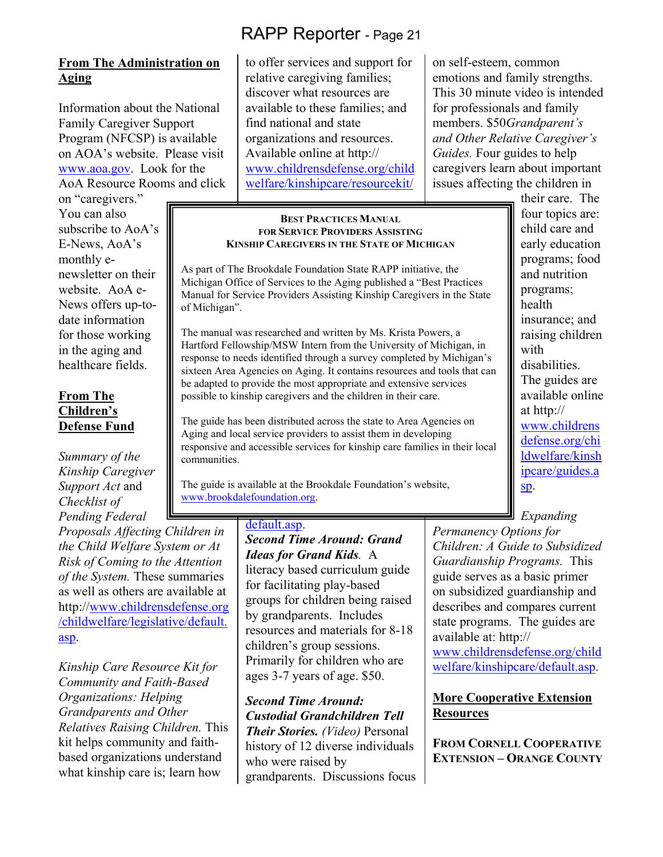#### **From The Administration on Aging**

Information about the National Family Caregiver Support Program (NFCSP) is available on AOA's website. Please visit www.aoa.gov. Look for the AoA Resource Rooms and click

on "caregivers." You can also subscribe to AoA's E-News, AoA's monthly enewsletter on their website. AoA e-News offers up-todate information for those working in the aging and healthcare fields.

#### **From The Children's Defense Fund**

*Summary of the Kinship Caregiver Support Act* and *Checklist of Pending Federal* 

*Proposals Affecting Children in the Child Welfare System or At Risk of Coming to the Attention of the System.* These summaries as well as others are available at http://www.childrensdefense.org /childwelfare/legislative/default. asp.

*Kinship Care Resource Kit for Community and Faith-Based Organizations: Helping Grandparents and Other Relatives Raising Children.* This kit helps community and faithbased organizations understand what kinship care is; learn how

to offer services and support for relative caregiving families; discover what resources are available to these families; and find national and state organizations and resources. Available online at http:// www.childrensdefense.org/child welfare/kinshipcare/resourcekit/

#### **BEST PRACTICES MANUAL FOR SERVICE PROVIDERS ASSISTING KINSHIP CAREGIVERS IN THE STATE OF MICHIGAN**

As part of The Brookdale Foundation State RAPP initiative, the Michigan Office of Services to the Aging published a "Best Practices Manual for Service Providers Assisting Kinship Caregivers in the State of Michigan".

The manual was researched and written by Ms. Krista Powers, a Hartford Fellowship/MSW Intern from the University of Michigan, in response to needs identified through a survey completed by Michigan's sixteen Area Agencies on Aging. It contains resources and tools that can be adapted to provide the most appropriate and extensive services possible to kinship caregivers and the children in their care.

The guide has been distributed across the state to Area Agencies on Aging and local service providers to assist them in developing responsive and accessible services for kinship care families in their local communities.

The guide is available at the Brookdale Foundation's website, www.brookdalefoundation.org.

> default.asp. *Second Time Around: Grand Ideas for Grand Kids.* A literacy based curriculum guide for facilitating play-based groups for children being raised by grandparents. Includes resources and materials for 8-18 children's group sessions. Primarily for children who are ages 3-7 years of age. \$50.

*Second Time Around: Custodial Grandchildren Tell Their Stories. (Video)* Personal history of 12 diverse individuals who were raised by grandparents. Discussions focus on self-esteem, common emotions and family strengths. This 30 minute video is intended for professionals and family members. \$50*Grandparent's and Other Relative Caregiver's Guides.* Four guides to help caregivers learn about important issues affecting the children in

their care. The four topics are: child care and early education programs; food and nutrition programs; health insurance; and raising children with disabilities. The guides are available online at http:// www.childrens defense.org/chi ldwelfare/kinsh ipcare/guides.a sp.

*Expanding Permanency Options for Children: A Guide to Subsidized Guardianship Programs.* This guide serves as a basic primer on subsidized guardianship and describes and compares current state programs. The guides are available at: http://

www.childrensdefense.org/child welfare/kinshipcare/default.asp.

#### **More Cooperative Extension Resources**

**FROM CORNELL COOPERATIVE EXTENSION – ORANGE COUNTY**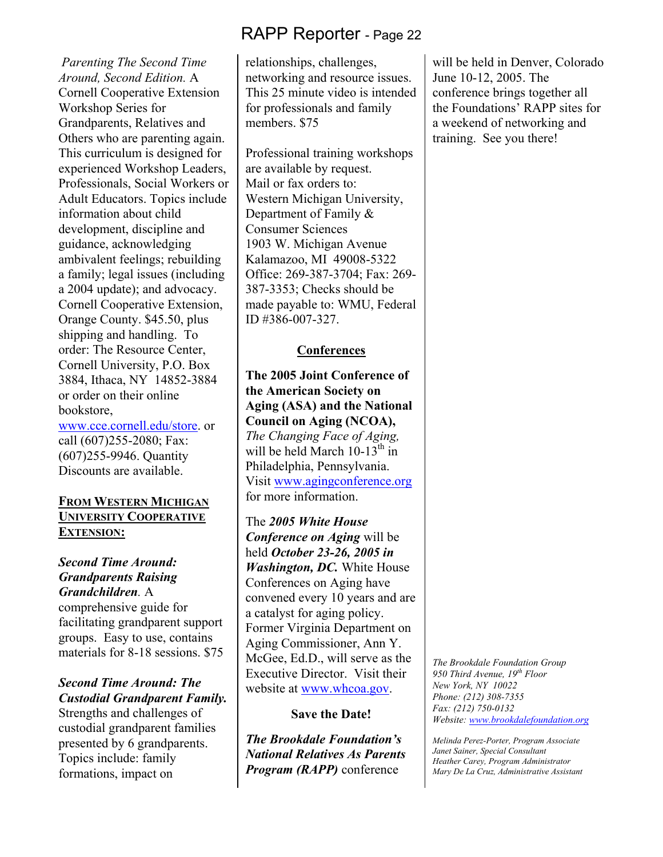*Parenting The Second Time Around, Second Edition.* A Cornell Cooperative Extension Workshop Series for Grandparents, Relatives and Others who are parenting again. This curriculum is designed for experienced Workshop Leaders, Professionals, Social Workers or Adult Educators. Topics include information about child development, discipline and guidance, acknowledging ambivalent feelings; rebuilding a family; legal issues (including a 2004 update); and advocacy. Cornell Cooperative Extension, Orange County. \$45.50, plus shipping and handling. To order: The Resource Center, Cornell University, P.O. Box 3884, Ithaca, NY 14852-3884 or order on their online bookstore,

www.cce.cornell.edu/store. or call (607)255-2080; Fax: (607)255-9946. Quantity Discounts are available.

#### **FROM WESTERN MICHIGAN UNIVERSITY COOPERATIVE EXTENSION:**

#### *Second Time Around: Grandparents Raising Grandchildren.* A

comprehensive guide for facilitating grandparent support groups. Easy to use, contains materials for 8-18 sessions. \$75

#### *Second Time Around: The Custodial Grandparent Family.*

Strengths and challenges of custodial grandparent families presented by 6 grandparents. Topics include: family formations, impact on

relationships, challenges, networking and resource issues. This 25 minute video is intended for professionals and family members. \$75

Professional training workshops are available by request. Mail or fax orders to: Western Michigan University, Department of Family & Consumer Sciences 1903 W. Michigan Avenue Kalamazoo, MI 49008-5322 Office: 269-387-3704; Fax: 269- 387-3353; Checks should be made payable to: WMU, Federal ID #386-007-327.

#### **Conferences**

**The 2005 Joint Conference of the American Society on Aging (ASA) and the National Council on Aging (NCOA),** *The Changing Face of Aging,*  will be held March  $10-13^{th}$  in Philadelphia, Pennsylvania. Visit www.agingconference.org for more information.

The *2005 White House Conference on Aging* will be held *October 23-26, 2005 in Washington, DC.* White House Conferences on Aging have convened every 10 years and are a catalyst for aging policy. Former Virginia Department on Aging Commissioner, Ann Y. McGee, Ed.D., will serve as the Executive Director. Visit their website at www.whcoa.gov.

#### **Save the Date!**

*The Brookdale Foundation's National Relatives As Parents Program (RAPP)* conference

will be held in Denver, Colorado June 10-12, 2005. The conference brings together all the Foundations' RAPP sites for a weekend of networking and training. See you there!

*The Brookdale Foundation Group 950 Third Avenue, 19th Floor New York, NY 10022 Phone: (212) 308-7355 Fax: (212) 750-0132 Website: www.brookdalefoundation.org* 

*Melinda Perez-Porter, Program Associate Janet Sainer, Special Consultant Heather Carey, Program Administrator Mary De La Cruz, Administrative Assistant*